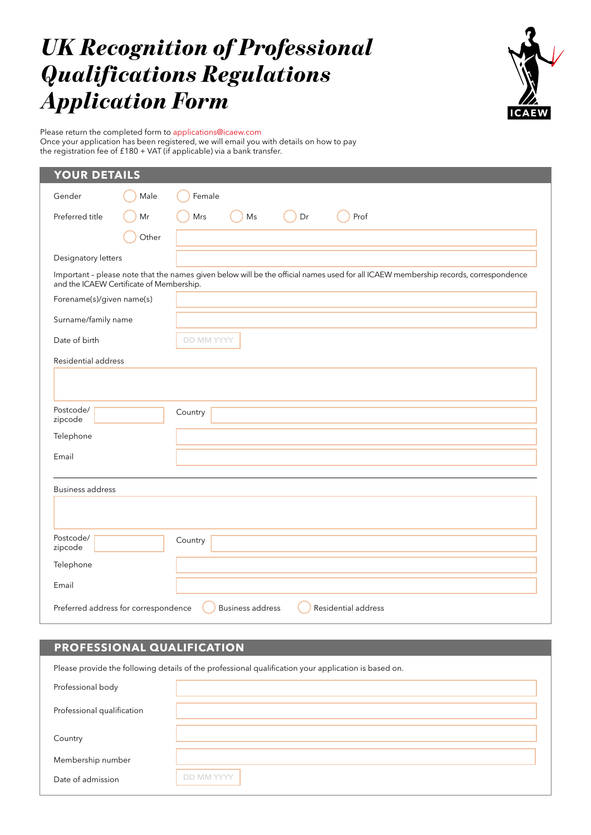# *UK Recognition of Professional Qualifications Regulations Application Form*



Please return the completed form to applications@icaew.com Once your application has been registered, we will email you with details on how to pay the registration fee of £180 + VAT (if applicable) via a bank transfer.

| <b>YOUR DETAILS</b>                      |       |                                                                                                                                     |  |  |  |
|------------------------------------------|-------|-------------------------------------------------------------------------------------------------------------------------------------|--|--|--|
| Gender                                   | Male  | Female                                                                                                                              |  |  |  |
| Preferred title                          | Mr    | Mrs<br>Dr<br>Prof<br>Ms                                                                                                             |  |  |  |
|                                          | Other |                                                                                                                                     |  |  |  |
| Designatory letters                      |       |                                                                                                                                     |  |  |  |
| and the ICAEW Certificate of Membership. |       | Important - please note that the names given below will be the official names used for all ICAEW membership records, correspondence |  |  |  |
| Forename(s)/given name(s)                |       |                                                                                                                                     |  |  |  |
| Surname/family name                      |       |                                                                                                                                     |  |  |  |
| Date of birth                            |       | <b>DD MM YYYY</b>                                                                                                                   |  |  |  |
| Residential address                      |       |                                                                                                                                     |  |  |  |
|                                          |       |                                                                                                                                     |  |  |  |
|                                          |       |                                                                                                                                     |  |  |  |
| Postcode/<br>zipcode                     |       | Country                                                                                                                             |  |  |  |
| Telephone                                |       |                                                                                                                                     |  |  |  |
| Email                                    |       |                                                                                                                                     |  |  |  |
|                                          |       |                                                                                                                                     |  |  |  |
| <b>Business address</b>                  |       |                                                                                                                                     |  |  |  |
|                                          |       |                                                                                                                                     |  |  |  |
| Postcode/<br>zipcode                     |       | Country                                                                                                                             |  |  |  |
| Telephone                                |       |                                                                                                                                     |  |  |  |
| Email                                    |       |                                                                                                                                     |  |  |  |
| Preferred address for correspondence     |       | <b>Business address</b><br>Residential address                                                                                      |  |  |  |

## **PROFESSIONAL QUALIFICATION**

| Please provide the following details of the professional qualification your application is based on. |            |  |  |  |
|------------------------------------------------------------------------------------------------------|------------|--|--|--|
| Professional body                                                                                    |            |  |  |  |
| Professional qualification                                                                           |            |  |  |  |
| Country                                                                                              |            |  |  |  |
| Membership number                                                                                    |            |  |  |  |
| Date of admission                                                                                    | DD MM YYYY |  |  |  |